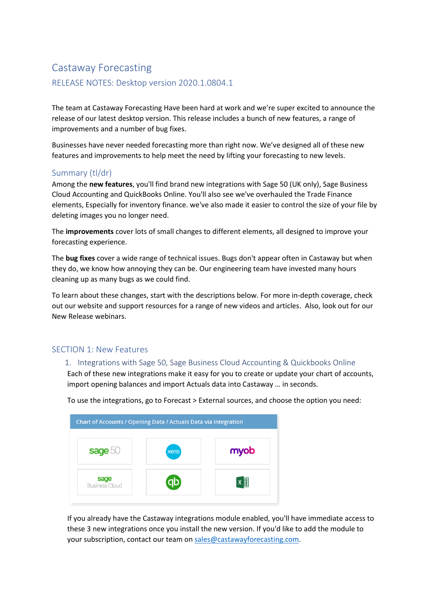# Castaway Forecasting RELEASE NOTES: Desktop version 2020.1.0804.1

The team at Castaway Forecasting Have been hard at work and we're super excited to announce the release of our latest desktop version. This release includes a bunch of new features, a range of improvements and a number of bug fixes.

Businesses have never needed forecasting more than right now. We've designed all of these new features and improvements to help meet the need by lifting your forecasting to new levels.

## Summary (tl/dr)

Among the **new features**, you'll find brand new integrations with Sage 50 (UK only), Sage Business Cloud Accounting and QuickBooks Online. You'll also see we've overhauled the Trade Finance elements, Especially for inventory finance. we've also made it easier to control the size of your file by deleting images you no longer need.

The **improvements** cover lots of small changes to different elements, all designed to improve your forecasting experience.

The **bug fixes** cover a wide range of technical issues. Bugs don't appear often in Castaway but when they do, we know how annoying they can be. Our engineering team have invested many hours cleaning up as many bugs as we could find.

To learn about these changes, start with the descriptions below. For more in-depth coverage, check out our website and support resources for a range of new videos and articles. Also, look out for our New Release webinars.

# SECTION 1: New Features

#### 1. Integrations with Sage 50, Sage Business Cloud Accounting & Quickbooks Online

Each of these new integrations make it easy for you to create or update your chart of accounts, import opening balances and import Actuals data into Castaway … in seconds.

To use the integrations, go to Forecast > External sources, and choose the option you need:



If you already have the Castaway integrations module enabled, you'll have immediate access to these 3 new integrations once you install the new version. If you'd like to add the module to your subscription, contact our team on [sales@castawayforecasting.com.](mailto:sales@castawayforecasting.com)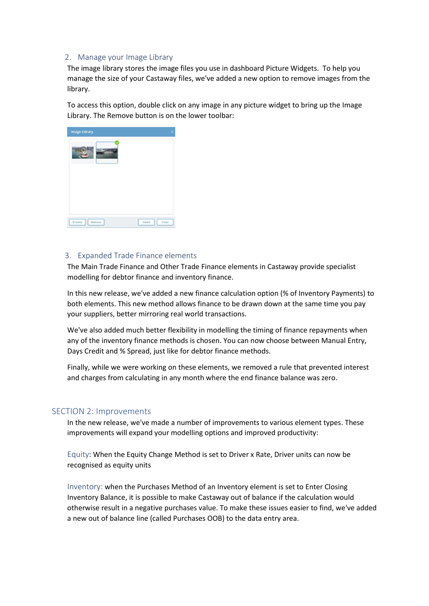#### 2. Manage your Image Library

The image library stores the image files you use in dashboard Picture Widgets. To help you manage the size of your Castaway files, we've added a new option to remove images from the library.

To access this option, double click on any image in any picture widget to bring up the Image Library. The Remove button is on the lower toolbar:

| <b>Image Library</b>    |                 |
|-------------------------|-----------------|
|                         |                 |
|                         |                 |
| <b>Browse</b><br>Remove | Close<br>Insert |

#### 3. Expanded Trade Finance elements

The Main Trade Finance and Other Trade Finance elements in Castaway provide specialist modelling for debtor finance and inventory finance.

In this new release, we've added a new finance calculation option (% of Inventory Payments) to both elements. This new method allows finance to be drawn down at the same time you pay your suppliers, better mirroring real world transactions.

We've also added much better flexibility in modelling the timing of finance repayments when any of the inventory finance methods is chosen. You can now choose between Manual Entry, Days Credit and % Spread, just like for debtor finance methods.

Finally, while we were working on these elements, we removed a rule that prevented interest and charges from calculating in any month where the end finance balance was zero.

## SECTION 2: Improvements

In the new release, we've made a number of improvements to various element types. These improvements will expand your modelling options and improved productivity:

Equity: When the Equity Change Method is set to Driver x Rate, Driver units can now be recognised as equity units

Inventory: when the Purchases Method of an Inventory element is set to Enter Closing Inventory Balance, it is possible to make Castaway out of balance if the calculation would otherwise result in a negative purchases value. To make these issues easier to find, we've added a new out of balance line (called Purchases OOB) to the data entry area.